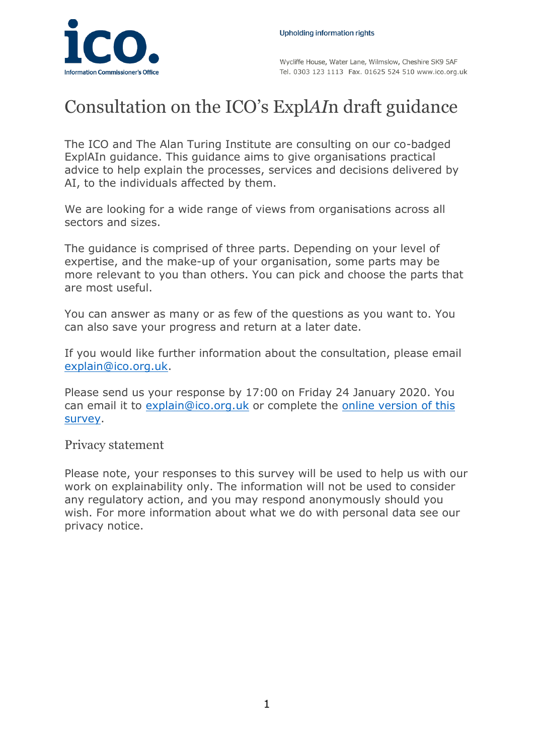

Wycliffe House, Water Lane, Wilmslow, Cheshire SK9 5AF Tel. 0303 123 1113 Fax. 01625 524 510 www.ico.org.uk

## Consultation on the ICO's Expl*AI*n draft guidance

The ICO and The Alan Turing Institute are consulting on our co-badged ExplAIn guidance. This guidance aims to give organisations practical advice to help explain the processes, services and decisions delivered by AI, to the individuals affected by them.

We are looking for a wide range of views from organisations across all sectors and sizes.

The guidance is comprised of three parts. Depending on your level of expertise, and the make-up of your organisation, some parts may be more relevant to you than others. You can pick and choose the parts that are most useful.

You can answer as many or as few of the questions as you want to. You can also save your progress and return at a later date.

If you would like further information about the consultation, please email [explain@ico.org.uk.](mailto:explain@ico.org.uk)

Please send us your response by 17:00 on Friday 24 January 2020. You can email it to [explain@ico.org.uk](mailto:explain@ico.org.uk) or complete the [online version of this](https://ico.org.uk/about-the-ico/ico-and-stakeholder-consultations/ico-and-the-turing-consultation-on-explaining-ai-decisions-guidance/)  [survey.](https://ico.org.uk/about-the-ico/ico-and-stakeholder-consultations/ico-and-the-turing-consultation-on-explaining-ai-decisions-guidance/)

## Privacy statement

Please note, your responses to this survey will be used to help us with our work on explainability only. The information will not be used to consider any regulatory action, and you may respond anonymously should you wish. For more information about what we do with personal data see our privacy notice.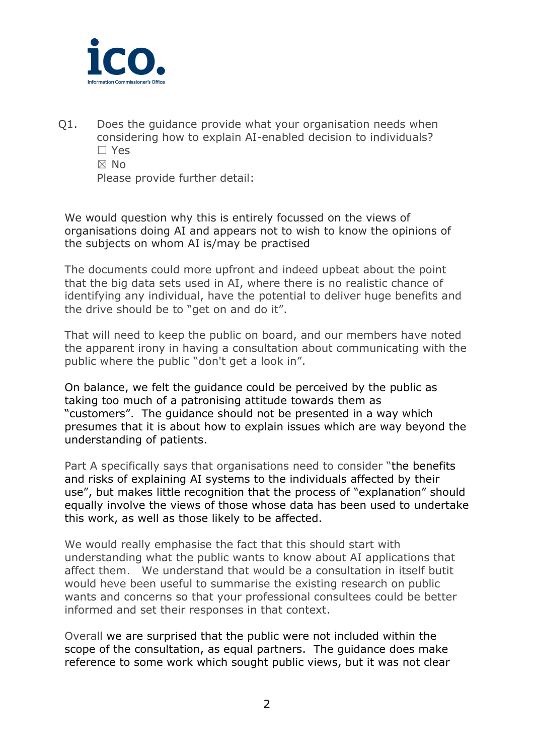

Q1. Does the guidance provide what your organisation needs when considering how to explain AI-enabled decision to individuals? ☐ Yes ☒ No Please provide further detail:

We would question why this is entirely focussed on the views of organisations doing AI and appears not to wish to know the opinions of the subjects on whom AI is/may be practised

The documents could more upfront and indeed upbeat about the point that the big data sets used in AI, where there is no realistic chance of identifying any individual, have the potential to deliver huge benefits and the drive should be to "get on and do it".

That will need to keep the public on board, and our members have noted the apparent irony in having a consultation about communicating with the public where the public "don't get a look in".

On balance, we felt the guidance could be perceived by the public as taking too much of a patronising attitude towards them as "customers". The guidance should not be presented in a way which presumes that it is about how to explain issues which are way beyond the understanding of patients.

Part A specifically says that organisations need to consider "the benefits and risks of explaining AI systems to the individuals affected by their use", but makes little recognition that the process of "explanation" should equally involve the views of those whose data has been used to undertake this work, as well as those likely to be affected.

We would really emphasise the fact that this should start with understanding what the public wants to know about AI applications that affect them. We understand that would be a consultation in itself butit would heve been useful to summarise the existing research on public wants and concerns so that your professional consultees could be better informed and set their responses in that context.

Overall we are surprised that the public were not included within the scope of the consultation, as equal partners. The guidance does make reference to some work which sought public views, but it was not clear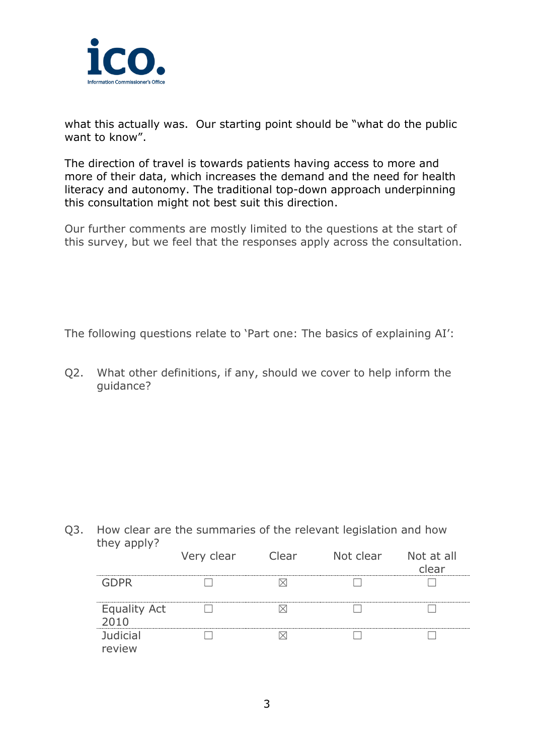

what this actually was. Our starting point should be "what do the public want to know".

The direction of travel is towards patients having access to more and more of their data, which increases the demand and the need for health literacy and autonomy. The traditional top-down approach underpinning this consultation might not best suit this direction.

Our further comments are mostly limited to the questions at the start of this survey, but we feel that the responses apply across the consultation.

The following questions relate to 'Part one: The basics of explaining AI':

Q2. What other definitions, if any, should we cover to help inform the guidance?

Q3. How clear are the summaries of the relevant legislation and how they apply?

|                             | Very clear | Clear | Not clear Not at all | clear |
|-----------------------------|------------|-------|----------------------|-------|
| GDPR                        |            |       |                      |       |
| <b>Equality Act</b><br>2010 |            |       |                      |       |
| <b>Judicial</b><br>review   |            |       |                      |       |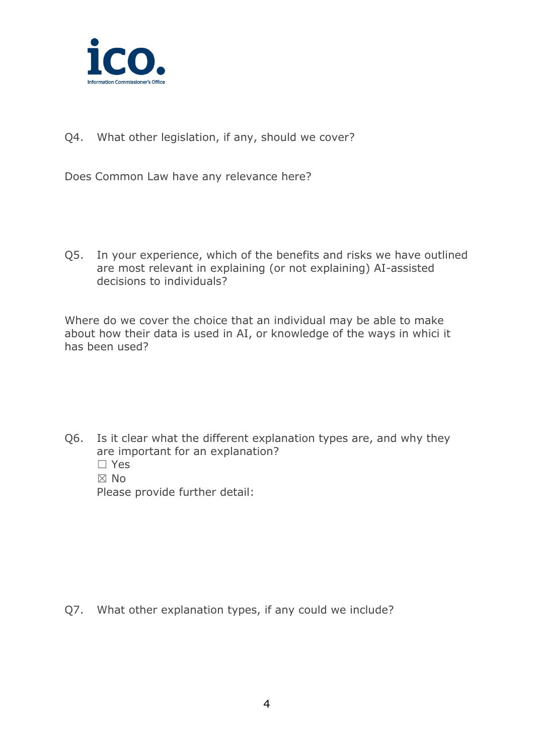

Q4. What other legislation, if any, should we cover?

Does Common Law have any relevance here?

Q5. In your experience, which of the benefits and risks we have outlined are most relevant in explaining (or not explaining) AI-assisted decisions to individuals?

Where do we cover the choice that an individual may be able to make about how their data is used in AI, or knowledge of the ways in whici it has been used?

Q6. Is it clear what the different explanation types are, and why they are important for an explanation? ☐ Yes ☒ No Please provide further detail:

Q7. What other explanation types, if any could we include?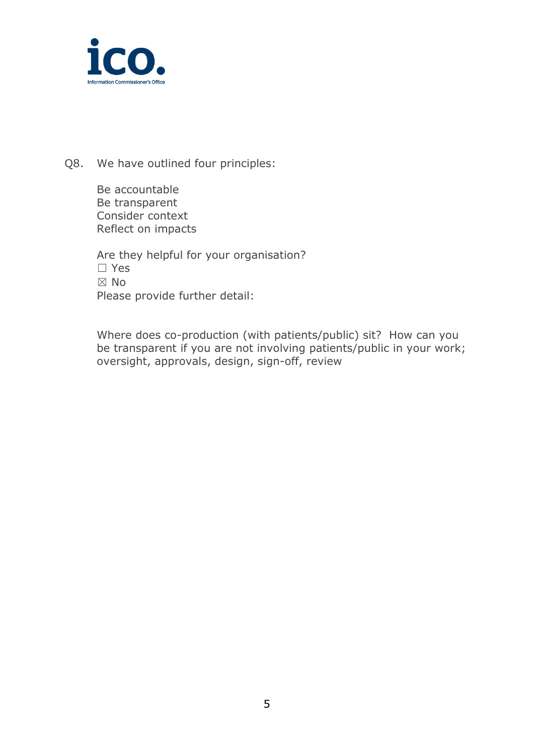

Q8. We have outlined four principles:

Be accountable Be transparent Consider context Reflect on impacts

Are they helpful for your organisation? ☐ Yes ☒ No Please provide further detail:

Where does co-production (with patients/public) sit? How can you be transparent if you are not involving patients/public in your work; oversight, approvals, design, sign-off, review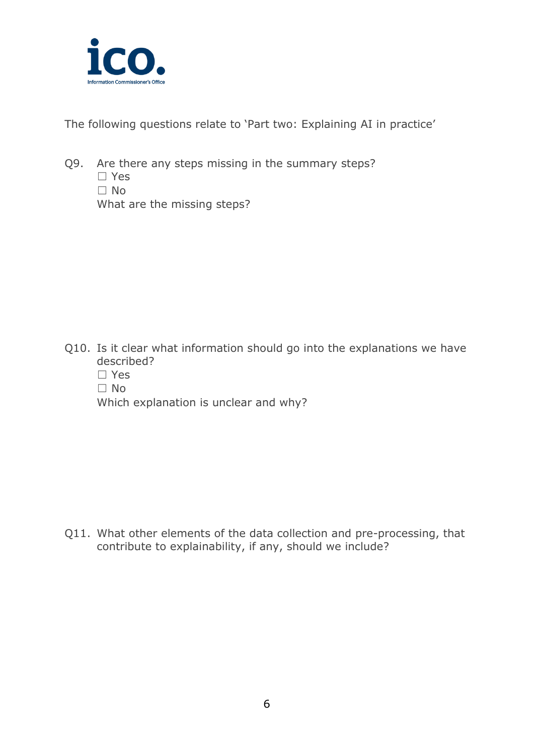

The following questions relate to 'Part two: Explaining AI in practice'

Q9. Are there any steps missing in the summary steps?

☐ Yes ☐ No What are the missing steps?

Q10. Is it clear what information should go into the explanations we have described?

☐ Yes ☐ No

Which explanation is unclear and why?

Q11. What other elements of the data collection and pre-processing, that contribute to explainability, if any, should we include?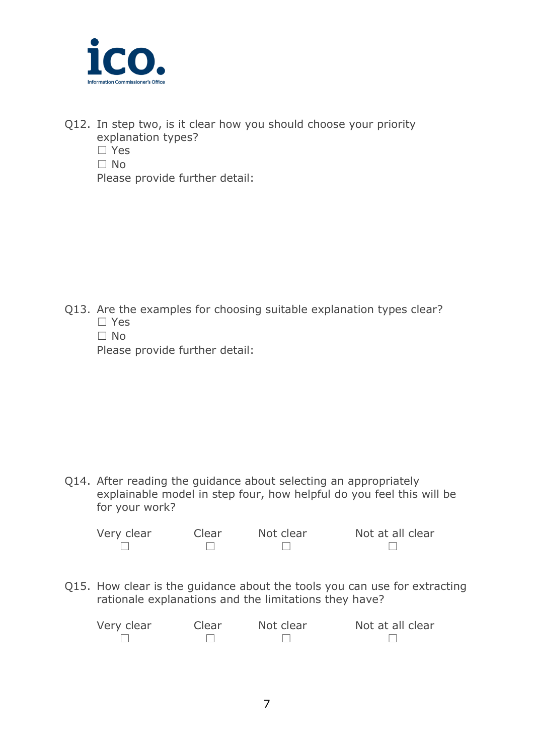

- Q12. In step two, is it clear how you should choose your priority explanation types?
	- ☐ Yes
	- $\Box$  No.

Please provide further detail:

- Q13. Are the examples for choosing suitable explanation types clear? ☐ Yes
	- ☐ No

Please provide further detail:

Q14. After reading the guidance about selecting an appropriately explainable model in step four, how helpful do you feel this will be for your work?

| Very clear | Clear | Not clear | Not at all clear |
|------------|-------|-----------|------------------|
|            |       |           |                  |

Q15. How clear is the guidance about the tools you can use for extracting rationale explanations and the limitations they have?

| Very clear | Clear | Not clear | Not at all clear |
|------------|-------|-----------|------------------|
|            |       |           |                  |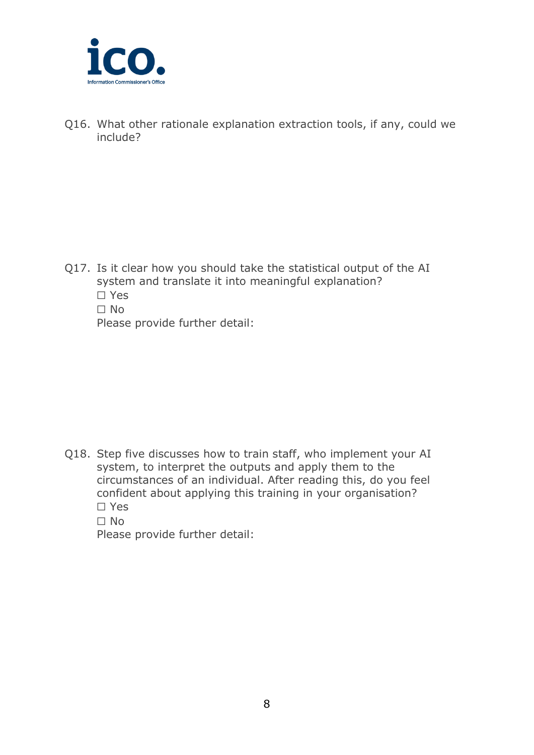

Q16. What other rationale explanation extraction tools, if any, could we include?

- Q17. Is it clear how you should take the statistical output of the AI system and translate it into meaningful explanation? ☐ Yes
	- ☐ No

Please provide further detail:

- Q18. Step five discusses how to train staff, who implement your AI system, to interpret the outputs and apply them to the circumstances of an individual. After reading this, do you feel confident about applying this training in your organisation? ☐ Yes
	- ☐ No

Please provide further detail: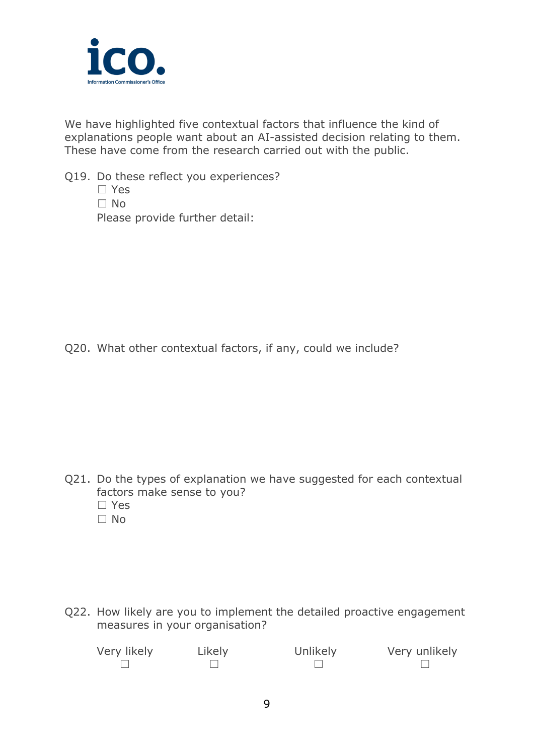

We have highlighted five contextual factors that influence the kind of explanations people want about an AI-assisted decision relating to them. These have come from the research carried out with the public.

- Q19. Do these reflect you experiences?
	- ☐ Yes ☐ No Please provide further detail:

Q20. What other contextual factors, if any, could we include?

Q21. Do the types of explanation we have suggested for each contextual factors make sense to you? ☐ Yes  $\Box$  No.

Q22. How likely are you to implement the detailed proactive engagement measures in your organisation?

| Very likely | Likely | Unlikely | Very unlikely |
|-------------|--------|----------|---------------|
|             |        |          |               |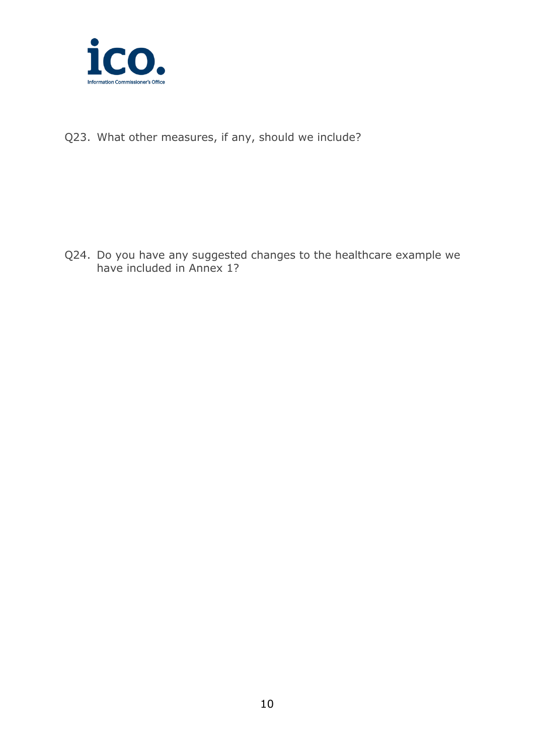

Q23. What other measures, if any, should we include?

Q24. Do you have any suggested changes to the healthcare example we have included in Annex 1?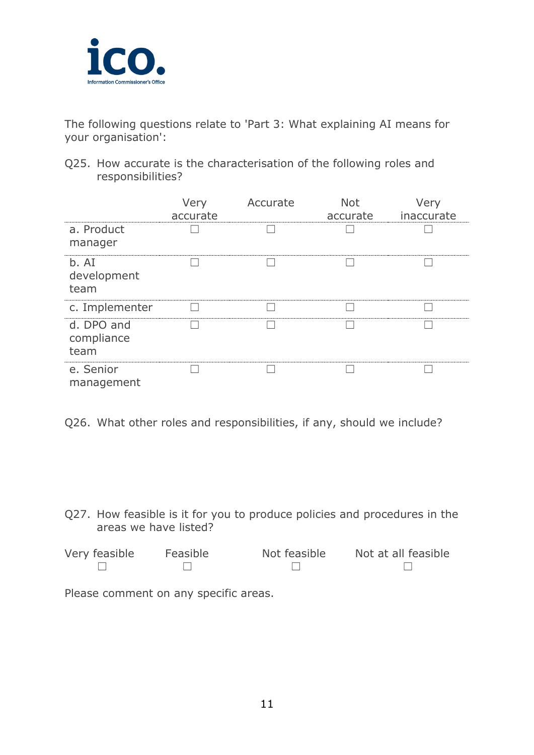

The following questions relate to 'Part 3: What explaining AI means for your organisation':

Q25. How accurate is the characterisation of the following roles and responsibilities?

|                                  | Very<br>accurate | Accurate | <b>Not</b><br>accurate | Very<br>inaccurate |
|----------------------------------|------------------|----------|------------------------|--------------------|
| a. Product<br>manager            |                  |          |                        |                    |
| b. AI<br>development<br>team     |                  |          |                        |                    |
| c. Implementer                   |                  |          |                        |                    |
| d. DPO and<br>compliance<br>team |                  |          |                        |                    |
| e. Senior<br>management          |                  |          |                        |                    |

Q26. What other roles and responsibilities, if any, should we include?

Q27. How feasible is it for you to produce policies and procedures in the areas we have listed?

| Very feasible | Feasible | Not feasible | Not at all feasible |
|---------------|----------|--------------|---------------------|
|               |          |              |                     |

Please comment on any specific areas.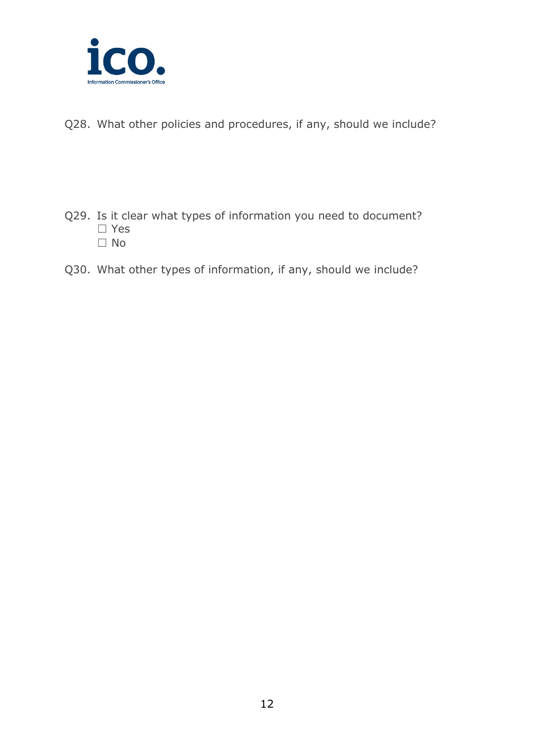

Q28. What other policies and procedures, if any, should we include?

- Q29. Is it clear what types of information you need to document? ☐ Yes ☐ No
- Q30. What other types of information, if any, should we include?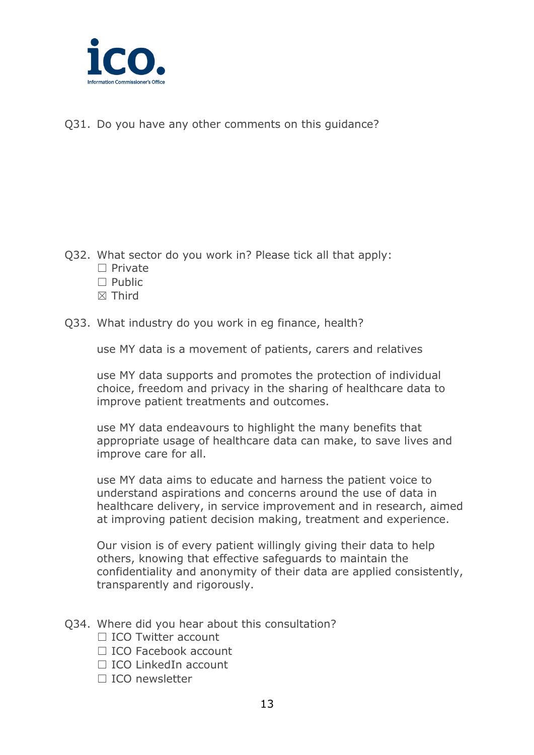

Q31. Do you have any other comments on this guidance?

- Q32. What sector do you work in? Please tick all that apply:
	- □ Private
	- $\Box$  Public
	- ☒ Third
- Q33. What industry do you work in eg finance, health?

use MY data is a movement of patients, carers and relatives

use MY data supports and promotes the protection of individual choice, freedom and privacy in the sharing of healthcare data to improve patient treatments and outcomes.

use MY data endeavours to highlight the many benefits that appropriate usage of healthcare data can make, to save lives and improve care for all.

use MY data aims to educate and harness the patient voice to understand aspirations and concerns around the use of data in healthcare delivery, in service improvement and in research, aimed at improving patient decision making, treatment and experience.

Our vision is of every patient willingly giving their data to help others, knowing that effective safeguards to maintain the confidentiality and anonymity of their data are applied consistently, transparently and rigorously.

- Q34. Where did you hear about this consultation?
	- □ ICO Twitter account
	- □ ICO Facebook account
	- □ ICO LinkedIn account
	- □ ICO newsletter